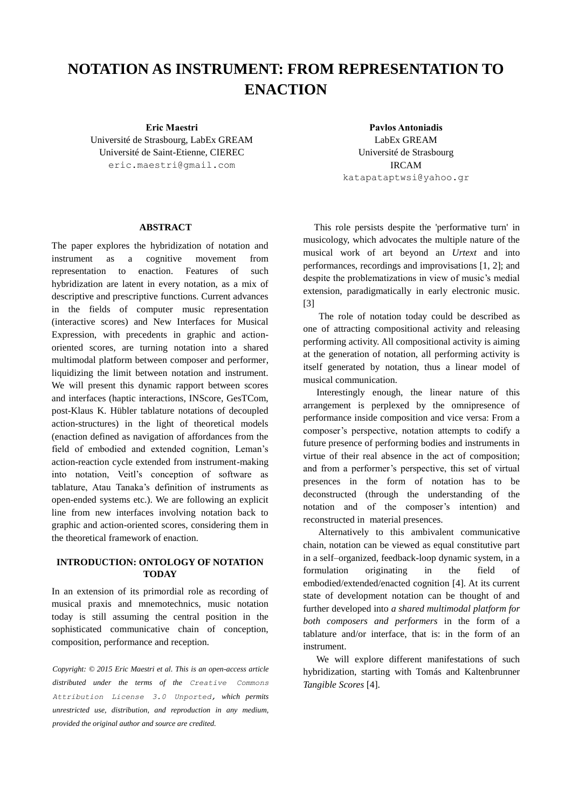# **NOTATION AS INSTRUMENT: FROM REPRESENTATION TO ENACTION**

Université de Strasbourg, LabEx GREAM Université de Saint-Etienne, CIEREC eric.maestri@gmail.com

#### **ABSTRACT**

The paper explores the hybridization of notation and instrument as a cognitive movement from representation to enaction. Features of such hybridization are latent in every notation, as a mix of descriptive and prescriptive functions. Current advances in the fields of computer music representation (interactive scores) and New Interfaces for Musical Expression, with precedents in graphic and actionoriented scores, are turning notation into a shared multimodal platform between composer and performer, liquidizing the limit between notation and instrument. We will present this dynamic rapport between scores and interfaces (haptic interactions, INScore, GesTCom, post-Klaus K. Hübler tablature notations of decoupled action-structures) in the light of theoretical models (enaction defined as navigation of affordances from the field of embodied and extended cognition, Leman's action-reaction cycle extended from instrument-making into notation, Veitl's conception of software as tablature, Atau Tanaka's definition of instruments as open-ended systems etc.). We are following an explicit line from new interfaces involving notation back to graphic and action-oriented scores, considering them in the theoretical framework of enaction.

# **INTRODUCTION: ONTOLOGY OF NOTATION TODAY**

In an extension of its primordial role as recording of musical praxis and mnemotechnics, music notation today is still assuming the central position in the sophisticated communicative chain of conception, composition, performance and reception.

*Copyright: © 2015 Eric Maestri et al. This is an open-access article distributed under the terms of the [Creative Commons](http://creativecommons.org/licenses/by/3.0/)  [Attribution License 3.0 Unported,](http://creativecommons.org/licenses/by/3.0/) which permits unrestricted use, distribution, and reproduction in any medium, provided the original author and source are credited.*

**Eric Maestri Pavlos Antoniadis** LabEx GREAM Université de Strasbourg IRCAM [katapataptwsi@yahoo.gr](mailto:katapataptwsi@yahoo.gr)

> This role persists despite the 'performative turn' in musicology, which advocates the multiple nature of the musical work of art beyond an *Urtext* and into performances, recordings and improvisations [1, 2]; and despite the problematizations in view of music's medial extension, paradigmatically in early electronic music. [3]

> The role of notation today could be described as one of attracting compositional activity and releasing performing activity. All compositional activity is aiming at the generation of notation, all performing activity is itself generated by notation, thus a linear model of musical communication.

> Interestingly enough, the linear nature of this arrangement is perplexed by the omnipresence of performance inside composition and vice versa: From a composer's perspective, notation attempts to codify a future presence of performing bodies and instruments in virtue of their real absence in the act of composition; and from a performer's perspective, this set of virtual presences in the form of notation has to be deconstructed (through the understanding of the notation and of the composer's intention) and reconstructed in material presences.

> Alternatively to this ambivalent communicative chain, notation can be viewed as equal constitutive part in a self–organized, feedback-loop dynamic system, in a formulation originating in the field of embodied/extended/enacted cognition [4]. At its current state of development notation can be thought of and further developed into *a shared multimodal platform for both composers and performers* in the form of a tablature and/or interface, that is: in the form of an instrument.

> We will explore different manifestations of such hybridization, starting with Tomás and Kaltenbrunner *Tangible Scores* [4].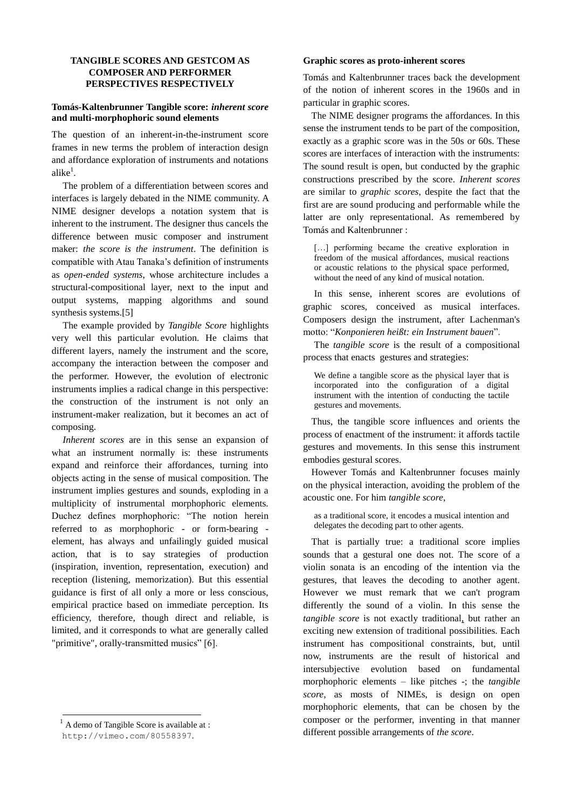# **TANGIBLE SCORES AND GESTCOM AS COMPOSER AND PERFORMER PERSPECTIVES RESPECTIVELY**

## **Tomás-Kaltenbrunner Tangible score:** *inherent score* **and multi-morphophoric sound elements**

The question of an inherent-in-the-instrument score frames in new terms the problem of interaction design and affordance exploration of instruments and notations alike $^1$ .

The problem of a differentiation between scores and interfaces is largely debated in the NIME community. A NIME designer develops a notation system that is inherent to the instrument. The designer thus cancels the difference between music composer and instrument maker: *the score is the instrument*. The definition is compatible with Atau Tanaka's definition of instruments as *open-ended systems*, whose architecture includes a structural-compositional layer, next to the input and output systems, mapping algorithms and sound synthesis systems.[5]

The example provided by *Tangible Score* highlights very well this particular evolution. He claims that different layers, namely the instrument and the score, accompany the interaction between the composer and the performer. However, the evolution of electronic instruments implies a radical change in this perspective: the construction of the instrument is not only an instrument-maker realization, but it becomes an act of composing.

*Inherent scores* are in this sense an expansion of what an instrument normally is: these instruments expand and reinforce their affordances, turning into objects acting in the sense of musical composition. The instrument implies gestures and sounds, exploding in a multiplicity of instrumental morphophoric elements. Duchez defines morphophoric: "The notion herein referred to as morphophoric - or form-bearing element, has always and unfailingly guided musical action, that is to say strategies of production (inspiration, invention, representation, execution) and reception (listening, memorization). But this essential guidance is first of all only a more or less conscious, empirical practice based on immediate perception. Its efficiency, therefore, though direct and reliable, is limited, and it corresponds to what are generally called "primitive", orally-transmitted musics" [6].

-

### **Graphic scores as proto-inherent scores**

Tomás and Kaltenbrunner traces back the development of the notion of inherent scores in the 1960s and in particular in graphic scores.

The NIME designer programs the affordances. In this sense the instrument tends to be part of the composition, exactly as a graphic score was in the 50s or 60s. These scores are interfaces of interaction with the instruments: The sound result is open, but conducted by the graphic constructions prescribed by the score. *Inherent scores* are similar to *graphic scores*, despite the fact that the first are are sound producing and performable while the latter are only representational. As remembered by Tomás and Kaltenbrunner :

[...] performing became the creative exploration in freedom of the musical affordances, musical reactions or acoustic relations to the physical space performed, without the need of any kind of musical notation.

In this sense, inherent scores are evolutions of graphic scores, conceived as musical interfaces. Composers design the instrument, after Lachenman's motto: "*Konponieren heißt: ein Instrument bauen*".

The *tangible score* is the result of a compositional process that enacts gestures and strategies:

We define a tangible score as the physical layer that is incorporated into the configuration of a digital instrument with the intention of conducting the tactile gestures and movements.

Thus, the tangible score influences and orients the process of enactment of the instrument: it affords tactile gestures and movements. In this sense this instrument embodies gestural scores.

However Tomás and Kaltenbrunner focuses mainly on the physical interaction, avoiding the problem of the acoustic one. For him *tangible score*,

as a traditional score, it encodes a musical intention and delegates the decoding part to other agents.

That is partially true: a traditional score implies sounds that a gestural one does not. The score of a violin sonata is an encoding of the intention via the gestures, that leaves the decoding to another agent. However we must remark that we can't program differently the sound of a violin. In this sense the *tangible score* is not exactly traditional, but rather an exciting new extension of traditional possibilities. Each instrument has compositional constraints, but, until now, instruments are the result of historical and intersubjective evolution based on fundamental morphophoric elements – like pitches -; the *tangible score*, as mosts of NIMEs, is design on open morphophoric elements, that can be chosen by the composer or the performer, inventing in that manner different possible arrangements of *the score*.

<sup>&</sup>lt;sup>1</sup> A demo of Tangible Score is available at :

<http://vimeo.com/80558397>.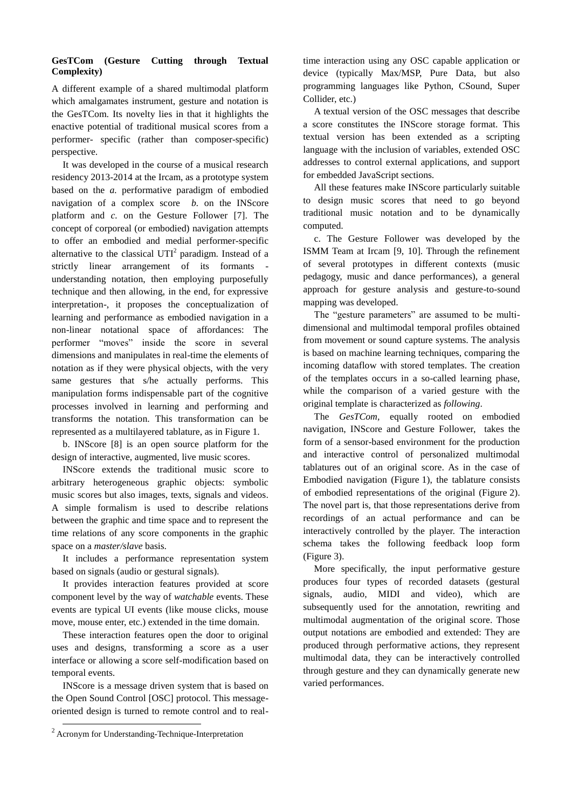# **GesTCom (Gesture Cutting through Textual Complexity)**

A different example of a shared multimodal platform which amalgamates instrument, gesture and notation is the GesTCom. Its novelty lies in that it highlights the enactive potential of traditional musical scores from a performer- specific (rather than composer-specific) perspective.

It was developed in the course of a musical research residency 2013-2014 at the Ircam, as a prototype system based on the *a.* performative paradigm of embodied navigation of a complex score *b.* on the INScore platform and *c.* on the Gesture Follower [7]. The concept of corporeal (or embodied) navigation attempts to offer an embodied and medial performer-specific alternative to the classical  $UTI<sup>2</sup>$  paradigm. Instead of a strictly linear arrangement of its formants understanding notation, then employing purposefully technique and then allowing, in the end, for expressive interpretation-, it proposes the conceptualization of learning and performance as embodied navigation in a non-linear notational space of affordances: The performer "moves" inside the score in several dimensions and manipulates in real-time the elements of notation as if they were physical objects, with the very same gestures that s/he actually performs. This manipulation forms indispensable part of the cognitive processes involved in learning and performing and transforms the notation. This transformation can be represented as a multilayered tablature, as in Figure 1.

b. INScore [8] is an open source platform for the design of interactive, augmented, live music scores.

INScore extends the traditional music score to arbitrary heterogeneous graphic objects: symbolic music scores but also images, texts, signals and videos. A simple formalism is used to describe relations between the graphic and time space and to represent the time relations of any score components in the graphic space on a *master/slave* basis.

It includes a performance representation system based on signals (audio or gestural signals).

It provides interaction features provided at score component level by the way of *watchable* events. These events are typical UI events (like mouse clicks, mouse move, mouse enter, etc.) extended in the time domain.

These interaction features open the door to original uses and designs, transforming a score as a user interface or allowing a score self-modification based on temporal events.

INScore is a message driven system that is based on the Open Sound Control [OSC] protocol. This messageoriented design is turned to remote control and to real-

1

time interaction using any OSC capable application or device (typically Max/MSP, Pure Data, but also programming languages like Python, CSound, Super Collider, etc.)

A textual version of the OSC messages that describe a score constitutes the INScore storage format. This textual version has been extended as a scripting language with the inclusion of variables, extended OSC addresses to control external applications, and support for embedded JavaScript sections.

All these features make INScore particularly suitable to design music scores that need to go beyond traditional music notation and to be dynamically computed.

c. The Gesture Follower was developed by the ISMM Team at Ircam [9, 10]. Through the refinement of several prototypes in different contexts (music pedagogy, music and dance performances), a general approach for gesture analysis and gesture-to-sound mapping was developed.

The "gesture parameters" are assumed to be multidimensional and multimodal temporal profiles obtained from movement or sound capture systems. The analysis is based on machine learning techniques, comparing the incoming dataflow with stored templates. The creation of the templates occurs in a so-called learning phase, while the comparison of a varied gesture with the original template is characterized as *following*.

The *GesTCom,* equally rooted on embodied navigation, INScore and Gesture Follower, takes the form of a sensor-based environment for the production and interactive control of personalized multimodal tablatures out of an original score. As in the case of Embodied navigation (Figure 1), the tablature consists of embodied representations of the original (Figure 2). The novel part is, that those representations derive from recordings of an actual performance and can be interactively controlled by the player. The interaction schema takes the following feedback loop form (Figure 3).

More specifically, the input performative gesture produces four types of recorded datasets (gestural signals, audio, MIDI and video), which are subsequently used for the annotation, rewriting and multimodal augmentation of the original score. Those output notations are embodied and extended: They are produced through performative actions, they represent multimodal data, they can be interactively controlled through gesture and they can dynamically generate new varied performances.

<sup>2</sup> Acronym for Understanding-Technique-Interpretation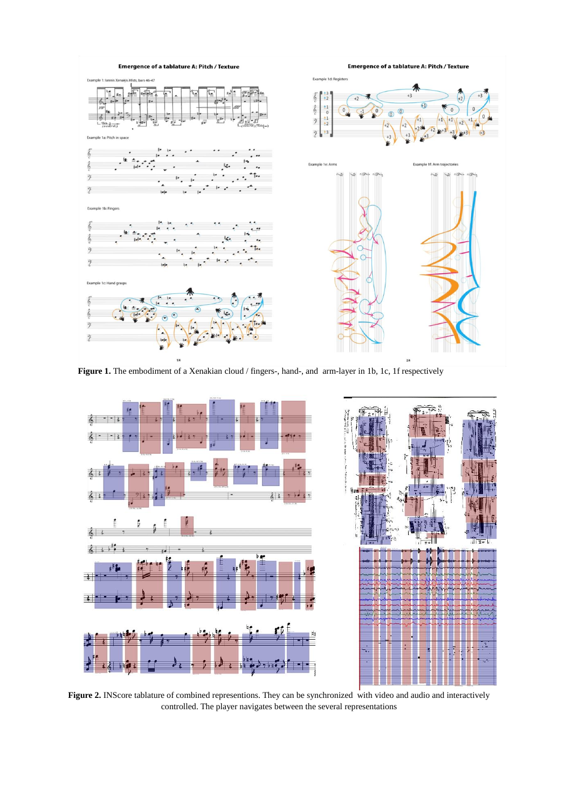

**Figure 1.** The embodiment of a Xenakian cloud / fingers-, hand-, and arm-layer in 1b, 1c, 1f respectively



**Figure 2.** INScore tablature of combined representions. They can be synchronized with video and audio and interactively controlled. The player navigates between the several representations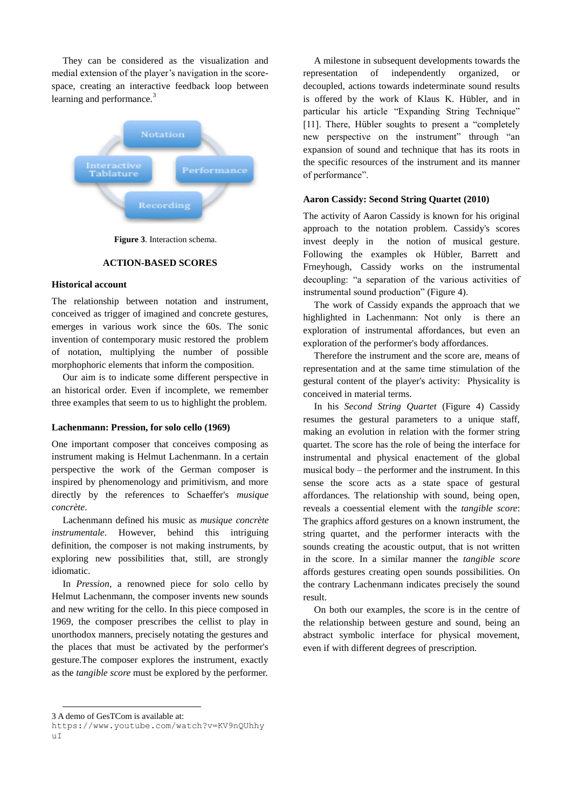They can be considered as the visualization and medial extension of the player's navigation in the scorespace, creating an interactive feedback loop between learning and performance.<sup>3</sup>



**Figure 3**. Interaction schema.

#### **ACTION-BASED SCORES**

## **Historical account**

The relationship between notation and instrument, conceived as trigger of imagined and concrete gestures, emerges in various work since the 60s. The sonic invention of contemporary music restored the problem of notation, multiplying the number of possible morphophoric elements that inform the composition.

Our aim is to indicate some different perspective in an historical order. Even if incomplete, we remember three examples that seem to us to highlight the problem.

### **Lachenmann: Pression, for solo cello (1969)**

One important composer that conceives composing as instrument making is Helmut Lachenmann. In a certain perspective the work of the German composer is inspired by phenomenology and primitivism, and more directly by the references to Schaeffer's *musique concrète*.

Lachenmann defined his music as *musique concrète instrumentale*. However, behind this intriguing definition, the composer is not making instruments, by exploring new possibilities that, still, are strongly idiomatic.

In *Pression*, a renowned piece for solo cello by Helmut Lachenmann, the composer invents new sounds and new writing for the cello. In this piece composed in 1969, the composer prescribes the cellist to play in unorthodox manners, precisely notating the gestures and the places that must be activated by the performer's gesture.The composer explores the instrument, exactly as the *tangible score* must be explored by the performer.

A milestone in subsequent developments towards the representation of independently organized, or decoupled, actions towards indeterminate sound results is offered by the work of Klaus K. Hübler, and in particular his article "Expanding String Technique" [11]. There, Hübler soughts to present a "completely" new perspective on the instrument" through "an expansion of sound and technique that has its roots in the specific resources of the instrument and its manner of performance".

## **Aaron Cassidy: Second String Quartet (2010)**

The activity of Aaron Cassidy is known for his original approach to the notation problem. Cassidy's scores invest deeply in the notion of musical gesture. Following the examples ok Hübler, Barrett and Frneyhough, Cassidy works on the instrumental decoupling: "a separation of the various activities of instrumental sound production" (Figure 4).

The work of Cassidy expands the approach that we highlighted in Lachenmann: Not only is there an exploration of instrumental affordances, but even an exploration of the performer's body affordances.

Therefore the instrument and the score are, means of representation and at the same time stimulation of the gestural content of the player's activity: Physicality is conceived in material terms.

In his *Second String Quartet* (Figure 4) Cassidy resumes the gestural parameters to a unique staff, making an evolution in relation with the former string quartet. The score has the role of being the interface for instrumental and physical enactement of the global musical body – the performer and the instrument. In this sense the score acts as a state space of gestural affordances. The relationship with sound, being open, reveals a coessential element with the *tangible score*: The graphics afford gestures on a known instrument, the string quartet, and the performer interacts with the sounds creating the acoustic output, that is not written in the score. In a similar manner the *tangible score* affords gestures creating open sounds possibilities. On the contrary Lachenmann indicates precisely the sound result.

On both our examples, the score is in the centre of the relationship between gesture and sound, being an abstract symbolic interface for physical movement, even if with different degrees of prescription.

1

<sup>3</sup> A demo of GesTCom is available at:

https://www.youtube.com/watch?v=KV9nQUhhy  $\mathbf{u}$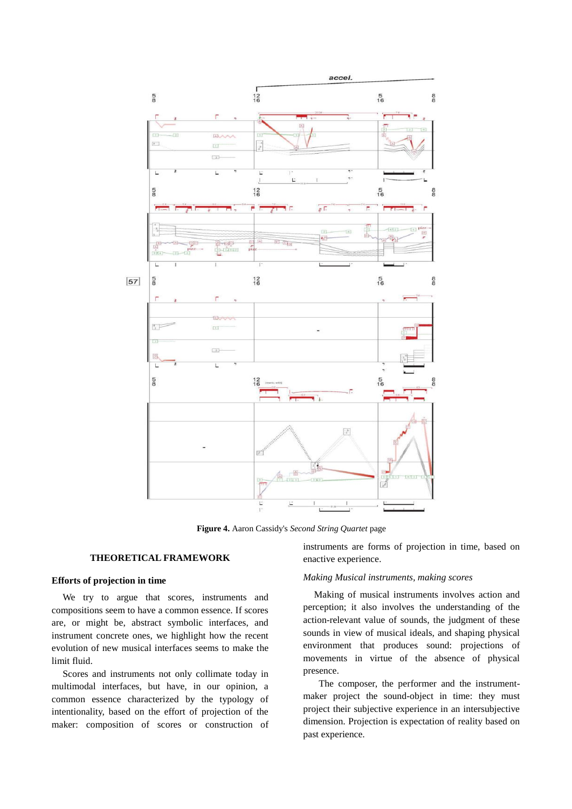

**Figure 4.** Aaron Cassidy's *Second String Quartet* page

### **THEORETICAL FRAMEWORK**

## **Efforts of projection in time**

We try to argue that scores, instruments and compositions seem to have a common essence. If scores are, or might be, abstract symbolic interfaces, and instrument concrete ones, we highlight how the recent evolution of new musical interfaces seems to make the limit fluid.

Scores and instruments not only collimate today in multimodal interfaces, but have, in our opinion, a common essence characterized by the typology of intentionality, based on the effort of projection of the maker: composition of scores or construction of instruments are forms of projection in time, based on enactive experience.

### *Making Musical instruments, making scores*

Making of musical instruments involves action and perception; it also involves the understanding of the action-relevant value of sounds, the judgment of these sounds in view of musical ideals, and shaping physical environment that produces sound: projections of movements in virtue of the absence of physical presence.

 The composer, the performer and the instrumentmaker project the sound-object in time: they must project their subjective experience in an intersubjective dimension. Projection is expectation of reality based on past experience.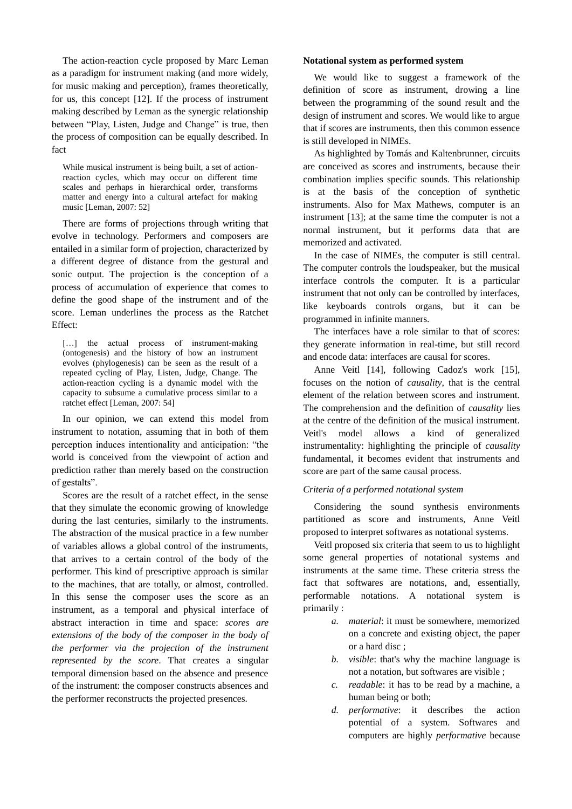The action-reaction cycle proposed by Marc Leman as a paradigm for instrument making (and more widely, for music making and perception), frames theoretically, for us, this concept [12]. If the process of instrument making described by Leman as the synergic relationship between "Play, Listen, Judge and Change" is true, then the process of composition can be equally described. In fact

While musical instrument is being built, a set of actionreaction cycles, which may occur on different time scales and perhaps in hierarchical order, transforms matter and energy into a cultural artefact for making music [Leman, 2007: 52]

There are forms of projections through writing that evolve in technology. Performers and composers are entailed in a similar form of projection, characterized by a different degree of distance from the gestural and sonic output. The projection is the conception of a process of accumulation of experience that comes to define the good shape of the instrument and of the score. Leman underlines the process as the Ratchet Effect:

[...] the actual process of instrument-making (ontogenesis) and the history of how an instrument evolves (phylogenesis) can be seen as the result of a repeated cycling of Play, Listen, Judge, Change. The action-reaction cycling is a dynamic model with the capacity to subsume a cumulative process similar to a ratchet effect [Leman, 2007: 54]

In our opinion, we can extend this model from instrument to notation, assuming that in both of them perception induces intentionality and anticipation: "the world is conceived from the viewpoint of action and prediction rather than merely based on the construction of gestalts".

Scores are the result of a ratchet effect, in the sense that they simulate the economic growing of knowledge during the last centuries, similarly to the instruments. The abstraction of the musical practice in a few number of variables allows a global control of the instruments, that arrives to a certain control of the body of the performer. This kind of prescriptive approach is similar to the machines, that are totally, or almost, controlled. In this sense the composer uses the score as an instrument, as a temporal and physical interface of abstract interaction in time and space: *scores are extensions of the body of the composer in the body of the performer via the projection of the instrument represented by the score*. That creates a singular temporal dimension based on the absence and presence of the instrument: the composer constructs absences and the performer reconstructs the projected presences.

#### **Notational system as performed system**

We would like to suggest a framework of the definition of score as instrument, drowing a line between the programming of the sound result and the design of instrument and scores. We would like to argue that if scores are instruments, then this common essence is still developed in NIMEs.

As highlighted by Tomás and Kaltenbrunner, circuits are conceived as scores and instruments, because their combination implies specific sounds. This relationship is at the basis of the conception of synthetic instruments. Also for Max Mathews, computer is an instrument [13]; at the same time the computer is not a normal instrument, but it performs data that are memorized and activated.

In the case of NIMEs, the computer is still central. The computer controls the loudspeaker, but the musical interface controls the computer. It is a particular instrument that not only can be controlled by interfaces, like keyboards controls organs, but it can be programmed in infinite manners.

The interfaces have a role similar to that of scores: they generate information in real-time, but still record and encode data: interfaces are causal for scores.

Anne Veitl [14], following Cadoz's work [15], focuses on the notion of *causality*, that is the central element of the relation between scores and instrument. The comprehension and the definition of *causality* lies at the centre of the definition of the musical instrument. Veitl's model allows a kind of generalized instrumentality: highlighting the principle of *causality* fundamental, it becomes evident that instruments and score are part of the same causal process.

## *Criteria of a performed notational system*

Considering the sound synthesis environments partitioned as score and instruments, Anne Veitl proposed to interpret softwares as notational systems.

Veitl proposed six criteria that seem to us to highlight some general properties of notational systems and instruments at the same time. These criteria stress the fact that softwares are notations, and, essentially, performable notations. A notational system is primarily :

- *a. material*: it must be somewhere, memorized on a concrete and existing object, the paper or a hard disc ;
- *b. visible*: that's why the machine language is not a notation, but softwares are visible ;
- *c. readable*: it has to be read by a machine, a human being or both;
- *d. performative*: it describes the action potential of a system. Softwares and computers are highly *performative* because